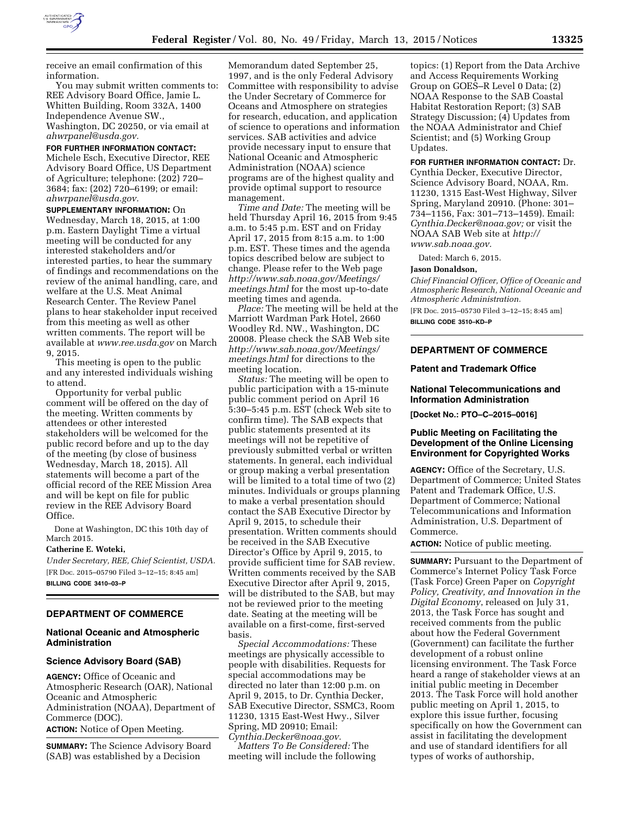

receive an email confirmation of this information.

You may submit written comments to: REE Advisory Board Office, Jamie L. Whitten Building, Room 332A, 1400 Independence Avenue SW., Washington, DC 20250, or via email at *[ahwrpanel@usda.gov.](mailto:ahwrpanel@usda.gov)* 

**FOR FURTHER INFORMATION CONTACT:**  Michele Esch, Executive Director, REE Advisory Board Office, US Department of Agriculture; telephone: (202) 720– 3684; fax: (202) 720–6199; or email: *[ahwrpanel@usda.gov.](mailto:ahwrpanel@usda.gov)* 

**SUPPLEMENTARY INFORMATION:** On Wednesday, March 18, 2015, at 1:00 p.m. Eastern Daylight Time a virtual meeting will be conducted for any interested stakeholders and/or interested parties, to hear the summary of findings and recommendations on the review of the animal handling, care, and welfare at the U.S. Meat Animal Research Center. The Review Panel plans to hear stakeholder input received from this meeting as well as other written comments. The report will be available at *[www.ree.usda.gov](http://www.ree.usda.gov)* on March 9, 2015.

This meeting is open to the public and any interested individuals wishing to attend.

Opportunity for verbal public comment will be offered on the day of the meeting. Written comments by attendees or other interested stakeholders will be welcomed for the public record before and up to the day of the meeting (by close of business Wednesday, March 18, 2015). All statements will become a part of the official record of the REE Mission Area and will be kept on file for public review in the REE Advisory Board Office.

Done at Washington, DC this 10th day of March 2015.

#### **Catherine E. Woteki,**

*Under Secretary, REE, Chief Scientist, USDA.*  [FR Doc. 2015–05790 Filed 3–12–15; 8:45 am] **BILLING CODE 3410–03–P** 

### **DEPARTMENT OF COMMERCE**

## **National Oceanic and Atmospheric Administration**

#### **Science Advisory Board (SAB)**

**AGENCY:** Office of Oceanic and Atmospheric Research (OAR), National Oceanic and Atmospheric Administration (NOAA), Department of Commerce (DOC). **ACTION:** Notice of Open Meeting.

**SUMMARY:** The Science Advisory Board (SAB) was established by a Decision

Memorandum dated September 25, 1997, and is the only Federal Advisory Committee with responsibility to advise the Under Secretary of Commerce for Oceans and Atmosphere on strategies for research, education, and application of science to operations and information services. SAB activities and advice provide necessary input to ensure that National Oceanic and Atmospheric Administration (NOAA) science programs are of the highest quality and provide optimal support to resource management.

*Time and Date:* The meeting will be held Thursday April 16, 2015 from 9:45 a.m. to 5:45 p.m. EST and on Friday April 17, 2015 from 8:15 a.m. to 1:00 p.m. EST. These times and the agenda topics described below are subject to change. Please refer to the Web page *[http://www.sab.noaa.gov/Meetings/](http://www.sab.noaa.gov/Meetings/meetings.html) [meetings.html](http://www.sab.noaa.gov/Meetings/meetings.html)* for the most up-to-date meeting times and agenda.

*Place:* The meeting will be held at the Marriott Wardman Park Hotel, 2660 Woodley Rd. NW., Washington, DC 20008. Please check the SAB Web site *[http://www.sab.noaa.gov/Meetings/](http://www.sab.noaa.gov/Meetings/meetings.html) [meetings.html](http://www.sab.noaa.gov/Meetings/meetings.html)* for directions to the meeting location.

*Status:* The meeting will be open to public participation with a 15-minute public comment period on April 16 5:30–5:45 p.m. EST (check Web site to confirm time). The SAB expects that public statements presented at its meetings will not be repetitive of previously submitted verbal or written statements. In general, each individual or group making a verbal presentation will be limited to a total time of two (2) minutes. Individuals or groups planning to make a verbal presentation should contact the SAB Executive Director by April 9, 2015, to schedule their presentation. Written comments should be received in the SAB Executive Director's Office by April 9, 2015, to provide sufficient time for SAB review. Written comments received by the SAB Executive Director after April 9, 2015, will be distributed to the SAB, but may not be reviewed prior to the meeting date. Seating at the meeting will be available on a first-come, first-served basis.

*Special Accommodations:* These meetings are physically accessible to people with disabilities. Requests for special accommodations may be directed no later than 12:00 p.m. on April 9, 2015, to Dr. Cynthia Decker, SAB Executive Director, SSMC3, Room 11230, 1315 East-West Hwy., Silver Spring, MD 20910; Email: *[Cynthia.Decker@noaa.gov.](mailto:Cynthia.Decker@noaa.gov)* 

*Matters To Be Considered:* The meeting will include the following topics: (1) Report from the Data Archive and Access Requirements Working Group on GOES–R Level 0 Data; (2) NOAA Response to the SAB Coastal Habitat Restoration Report; (3) SAB Strategy Discussion; (4) Updates from the NOAA Administrator and Chief Scientist; and (5) Working Group Updates.

## **FOR FURTHER INFORMATION CONTACT:** Dr.

Cynthia Decker, Executive Director, Science Advisory Board, NOAA, Rm. 11230, 1315 East-West Highway, Silver Spring, Maryland 20910. (Phone: 301– 734–1156, Fax: 301–713–1459). Email: *[Cynthia.Decker@noaa.gov;](mailto:Cynthia.Decker@noaa.gov)* or visit the NOAA SAB Web site at *[http://](http://www.sab.noaa.gov) [www.sab.noaa.gov.](http://www.sab.noaa.gov)* 

Dated: March 6, 2015.

### **Jason Donaldson,**

*Chief Financial Officer, Office of Oceanic and Atmospheric Research, National Oceanic and Atmospheric Administration.* 

[FR Doc. 2015–05730 Filed 3–12–15; 8:45 am]

**BILLING CODE 3510–KD–P** 

# **DEPARTMENT OF COMMERCE**

#### **Patent and Trademark Office**

## **National Telecommunications and Information Administration**

**[Docket No.: PTO–C–2015–0016]** 

## **Public Meeting on Facilitating the Development of the Online Licensing Environment for Copyrighted Works**

**AGENCY:** Office of the Secretary, U.S. Department of Commerce; United States Patent and Trademark Office, U.S. Department of Commerce; National Telecommunications and Information Administration, U.S. Department of Commerce.

#### **ACTION:** Notice of public meeting.

**SUMMARY:** Pursuant to the Department of Commerce's Internet Policy Task Force (Task Force) Green Paper on *Copyright Policy, Creativity, and Innovation in the Digital Economy*, released on July 31, 2013, the Task Force has sought and received comments from the public about how the Federal Government (Government) can facilitate the further development of a robust online licensing environment. The Task Force heard a range of stakeholder views at an initial public meeting in December 2013. The Task Force will hold another public meeting on April 1, 2015, to explore this issue further, focusing specifically on how the Government can assist in facilitating the development and use of standard identifiers for all types of works of authorship,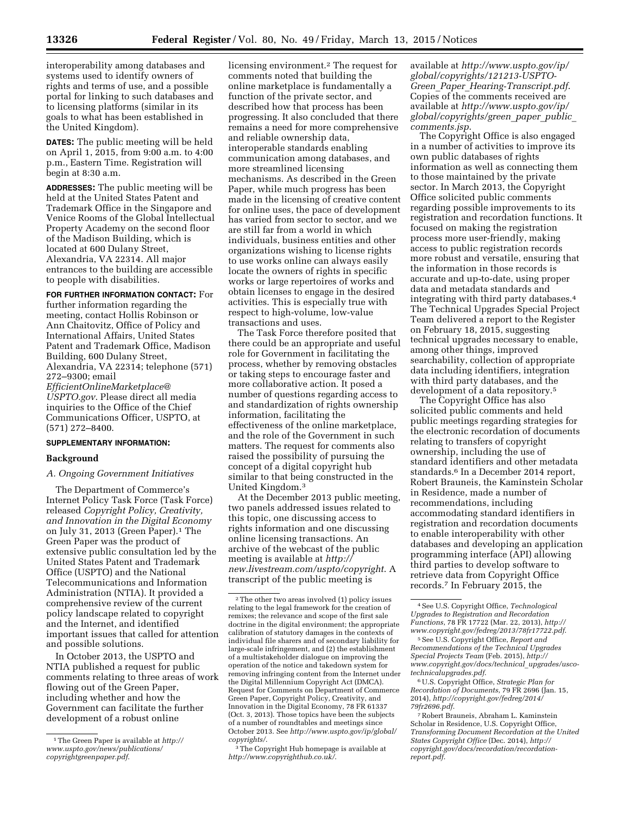interoperability among databases and systems used to identify owners of rights and terms of use, and a possible portal for linking to such databases and to licensing platforms (similar in its goals to what has been established in the United Kingdom).

**DATES:** The public meeting will be held on April 1, 2015, from 9:00 a.m. to 4:00 p.m., Eastern Time. Registration will begin at 8:30 a.m.

**ADDRESSES:** The public meeting will be held at the United States Patent and Trademark Office in the Singapore and Venice Rooms of the Global Intellectual Property Academy on the second floor of the Madison Building, which is located at 600 Dulany Street, Alexandria, VA 22314. All major entrances to the building are accessible to people with disabilities.

**FOR FURTHER INFORMATION CONTACT:** For further information regarding the meeting, contact Hollis Robinson or Ann Chaitovitz, Office of Policy and International Affairs, United States Patent and Trademark Office, Madison Building, 600 Dulany Street, Alexandria, VA 22314; telephone (571) 272–9300; email *[EfficientOnlineMarketplace@](mailto:EfficientOnlineMarketplace@USPTO.gov) [USPTO.gov](mailto:EfficientOnlineMarketplace@USPTO.gov)*. Please direct all media inquiries to the Office of the Chief Communications Officer, USPTO, at (571) 272–8400.

### **SUPPLEMENTARY INFORMATION:**

### **Background**

*A. Ongoing Government Initiatives* 

The Department of Commerce's Internet Policy Task Force (Task Force) released *Copyright Policy, Creativity, and Innovation in the Digital Economy*  on July 31, 2013 (Green Paper).<sup>1</sup> The Green Paper was the product of extensive public consultation led by the United States Patent and Trademark Office (USPTO) and the National Telecommunications and Information Administration (NTIA). It provided a comprehensive review of the current policy landscape related to copyright and the Internet, and identified important issues that called for attention and possible solutions.

In October 2013, the USPTO and NTIA published a request for public comments relating to three areas of work flowing out of the Green Paper, including whether and how the Government can facilitate the further development of a robust online

licensing environment.2 The request for comments noted that building the online marketplace is fundamentally a function of the private sector, and described how that process has been progressing. It also concluded that there remains a need for more comprehensive and reliable ownership data, interoperable standards enabling communication among databases, and more streamlined licensing mechanisms. As described in the Green Paper, while much progress has been made in the licensing of creative content for online uses, the pace of development has varied from sector to sector, and we are still far from a world in which individuals, business entities and other organizations wishing to license rights to use works online can always easily locate the owners of rights in specific works or large repertoires of works and obtain licenses to engage in the desired activities. This is especially true with respect to high-volume, low-value transactions and uses.

The Task Force therefore posited that there could be an appropriate and useful role for Government in facilitating the process, whether by removing obstacles or taking steps to encourage faster and more collaborative action. It posed a number of questions regarding access to and standardization of rights ownership information, facilitating the effectiveness of the online marketplace, and the role of the Government in such matters. The request for comments also raised the possibility of pursuing the concept of a digital copyright hub similar to that being constructed in the United Kingdom.3

At the December 2013 public meeting, two panels addressed issues related to this topic, one discussing access to rights information and one discussing online licensing transactions. An archive of the webcast of the public meeting is available at *[http://](http://new.livestream.com/uspto/copyright) [new.livestream.com/uspto/copyright](http://new.livestream.com/uspto/copyright)*. A transcript of the public meeting is

available at *[http://www.uspto.gov/ip/](http://www.uspto.gov/ip/global/copyrights/121213-USPTO-Green_Paper_Hearing-Transcript.pdf) [global/copyrights/121213-USPTO-](http://www.uspto.gov/ip/global/copyrights/121213-USPTO-Green_Paper_Hearing-Transcript.pdf)Green*\_*Paper*\_*[Hearing-Transcript.pdf](http://www.uspto.gov/ip/global/copyrights/121213-USPTO-Green_Paper_Hearing-Transcript.pdf)*. Copies of the comments received are available at *[http://www.uspto.gov/ip/](http://www.uspto.gov/ip/global/copyrights/green_paper_public_comments.jsp) [global/copyrights/green](http://www.uspto.gov/ip/global/copyrights/green_paper_public_comments.jsp)*\_*paper*\_*public*\_ *[comments.jsp](http://www.uspto.gov/ip/global/copyrights/green_paper_public_comments.jsp)*.

The Copyright Office is also engaged in a number of activities to improve its own public databases of rights information as well as connecting them to those maintained by the private sector. In March 2013, the Copyright Office solicited public comments regarding possible improvements to its registration and recordation functions. It focused on making the registration process more user-friendly, making access to public registration records more robust and versatile, ensuring that the information in those records is accurate and up-to-date, using proper data and metadata standards and integrating with third party databases.4 The Technical Upgrades Special Project Team delivered a report to the Register on February 18, 2015, suggesting technical upgrades necessary to enable, among other things, improved searchability, collection of appropriate data including identifiers, integration with third party databases, and the development of a data repository.5

The Copyright Office has also solicited public comments and held public meetings regarding strategies for the electronic recordation of documents relating to transfers of copyright ownership, including the use of standard identifiers and other metadata standards.6 In a December 2014 report, Robert Brauneis, the Kaminstein Scholar in Residence, made a number of recommendations, including accommodating standard identifiers in registration and recordation documents to enable interoperability with other databases and developing an application programming interface (API) allowing third parties to develop software to retrieve data from Copyright Office records.7 In February 2015, the

6U.S. Copyright Office, *Strategic Plan for Recordation of Documents*, 79 FR 2696 (Jan. 15, 2014), *[http://copyright.gov/fedreg/2014/](http://copyright.gov/fedreg/2014/79fr2696.pdf) [79fr2696.pdf](http://copyright.gov/fedreg/2014/79fr2696.pdf)*.

<sup>1</sup>The Green Paper is available at *[http://](http://www.uspto.gov/news/publications/copyrightgreenpaper.pdf) [www.uspto.gov/news/publications/](http://www.uspto.gov/news/publications/copyrightgreenpaper.pdf) [copyrightgreenpaper.pdf](http://www.uspto.gov/news/publications/copyrightgreenpaper.pdf)*.

<sup>2</sup>The other two areas involved (1) policy issues relating to the legal framework for the creation of remixes; the relevance and scope of the first sale doctrine in the digital environment; the appropriate calibration of statutory damages in the contexts of individual file sharers and of secondary liability for large-scale infringement, and (2) the establishment of a multistakeholder dialogue on improving the operation of the notice and takedown system for removing infringing content from the Internet under the Digital Millennium Copyright Act (DMCA). Request for Comments on Department of Commerce Green Paper, Copyright Policy, Creativity, and Innovation in the Digital Economy, 78 FR 61337 (Oct. 3, 2013). Those topics have been the subjects of a number of roundtables and meetings since October 2013. See *[http://www.uspto.gov/ip/global/](http://www.uspto.gov/ip/global/copyrights/)  [copyrights/](http://www.uspto.gov/ip/global/copyrights/)*.

<sup>3</sup>The Copyright Hub homepage is available at *<http://www.copyrighthub.co.uk/>*.

<sup>4</sup>See U.S. Copyright Office, *Technological Upgrades to Registration and Recordation Functions*, 78 FR 17722 (Mar. 22, 2013), *[http://](http://www.copyright.gov/fedreg/2013/78fr17722.pdf) [www.copyright.gov/fedreg/2013/78fr17722.pdf](http://www.copyright.gov/fedreg/2013/78fr17722.pdf)*.

<sup>5</sup>See U.S. Copyright Office, *Report and Recommendations of the Technical Upgrades Special Projects Team* (Feb. 2015), *[http://](http://www.copyright.gov/docs/technical_upgrades/usco-technicalupgrades.pdf) [www.copyright.gov/docs/technical](http://www.copyright.gov/docs/technical_upgrades/usco-technicalupgrades.pdf)*\_*upgrades/usco[technicalupgrades.pdf](http://www.copyright.gov/docs/technical_upgrades/usco-technicalupgrades.pdf)*.

<sup>7</sup>Robert Brauneis, Abraham L. Kaminstein Scholar in Residence, U.S. Copyright Office, *Transforming Document Recordation at the United States Copyright Office* (Dec. 2014), *[http://](http://copyright.gov/docs/recordation/recordation-report.pdf) [copyright.gov/docs/recordation/recordation](http://copyright.gov/docs/recordation/recordation-report.pdf)[report.pdf](http://copyright.gov/docs/recordation/recordation-report.pdf)*.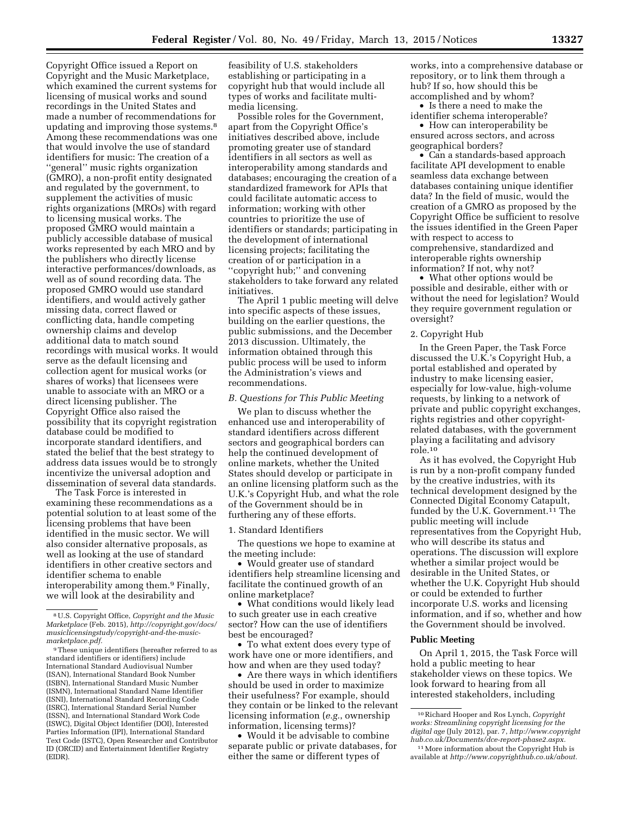Copyright Office issued a Report on Copyright and the Music Marketplace, which examined the current systems for licensing of musical works and sound recordings in the United States and made a number of recommendations for updating and improving those systems.8 Among these recommendations was one that would involve the use of standard identifiers for music: The creation of a ''general'' music rights organization (GMRO), a non-profit entity designated and regulated by the government, to supplement the activities of music rights organizations (MROs) with regard to licensing musical works. The proposed GMRO would maintain a publicly accessible database of musical works represented by each MRO and by the publishers who directly license interactive performances/downloads, as well as of sound recording data. The proposed GMRO would use standard identifiers, and would actively gather missing data, correct flawed or conflicting data, handle competing ownership claims and develop additional data to match sound recordings with musical works. It would serve as the default licensing and collection agent for musical works (or shares of works) that licensees were unable to associate with an MRO or a direct licensing publisher. The Copyright Office also raised the possibility that its copyright registration database could be modified to incorporate standard identifiers, and stated the belief that the best strategy to address data issues would be to strongly incentivize the universal adoption and dissemination of several data standards.

The Task Force is interested in examining these recommendations as a potential solution to at least some of the licensing problems that have been identified in the music sector. We will also consider alternative proposals, as well as looking at the use of standard identifiers in other creative sectors and identifier schema to enable interoperability among them.9 Finally, we will look at the desirability and

feasibility of U.S. stakeholders establishing or participating in a copyright hub that would include all types of works and facilitate multimedia licensing.

Possible roles for the Government, apart from the Copyright Office's initiatives described above, include promoting greater use of standard identifiers in all sectors as well as interoperability among standards and databases; encouraging the creation of a standardized framework for APIs that could facilitate automatic access to information; working with other countries to prioritize the use of identifiers or standards; participating in the development of international licensing projects; facilitating the creation of or participation in a ''copyright hub;'' and convening stakeholders to take forward any related initiatives.

The April 1 public meeting will delve into specific aspects of these issues, building on the earlier questions, the public submissions, and the December 2013 discussion. Ultimately, the information obtained through this public process will be used to inform the Administration's views and recommendations.

### *B. Questions for This Public Meeting*

We plan to discuss whether the enhanced use and interoperability of standard identifiers across different sectors and geographical borders can help the continued development of online markets, whether the United States should develop or participate in an online licensing platform such as the U.K.'s Copyright Hub, and what the role of the Government should be in furthering any of these efforts.

1. Standard Identifiers

The questions we hope to examine at the meeting include:

• Would greater use of standard identifiers help streamline licensing and facilitate the continued growth of an online marketplace?

• What conditions would likely lead to such greater use in each creative sector? How can the use of identifiers best be encouraged?

• To what extent does every type of work have one or more identifiers, and how and when are they used today?

• Are there ways in which identifiers should be used in order to maximize their usefulness? For example, should they contain or be linked to the relevant licensing information (*e.g.*, ownership information, licensing terms)?

• Would it be advisable to combine separate public or private databases, for either the same or different types of

works, into a comprehensive database or repository, or to link them through a hub? If so, how should this be accomplished and by whom?

• Is there a need to make the identifier schema interoperable?

• How can interoperability be ensured across sectors, and across geographical borders?

• Can a standards-based approach facilitate API development to enable seamless data exchange between databases containing unique identifier data? In the field of music, would the creation of a GMRO as proposed by the Copyright Office be sufficient to resolve the issues identified in the Green Paper with respect to access to comprehensive, standardized and interoperable rights ownership information? If not, why not?

• What other options would be possible and desirable, either with or without the need for legislation? Would they require government regulation or oversight?

### 2. Copyright Hub

In the Green Paper, the Task Force discussed the U.K.'s Copyright Hub, a portal established and operated by industry to make licensing easier, especially for low-value, high-volume requests, by linking to a network of private and public copyright exchanges, rights registries and other copyrightrelated databases, with the government playing a facilitating and advisory role.10

As it has evolved, the Copyright Hub is run by a non-profit company funded by the creative industries, with its technical development designed by the Connected Digital Economy Catapult, funded by the U.K. Government.<sup>11</sup> The public meeting will include representatives from the Copyright Hub, who will describe its status and operations. The discussion will explore whether a similar project would be desirable in the United States, or whether the U.K. Copyright Hub should or could be extended to further incorporate U.S. works and licensing information, and if so, whether and how the Government should be involved.

#### **Public Meeting**

On April 1, 2015, the Task Force will hold a public meeting to hear stakeholder views on these topics. We look forward to hearing from all interested stakeholders, including

<sup>8</sup>U.S. Copyright Office, *Copyright and the Music Marketplace* (Feb. 2015), *[http://copyright.gov/docs/](http://copyright.gov/docs/musiclicensingstudy/copyright-and-the-music-marketplace.pdf)  [musiclicensingstudy/copyright-and-the-music](http://copyright.gov/docs/musiclicensingstudy/copyright-and-the-music-marketplace.pdf)[marketplace.pdf.](http://copyright.gov/docs/musiclicensingstudy/copyright-and-the-music-marketplace.pdf)* 

<sup>9</sup>These unique identifiers (hereafter referred to as standard identifiers or identifiers) include International Standard Audiovisual Number (ISAN), International Standard Book Number (ISBN), International Standard Music Number (ISMN), International Standard Name Identifier (ISNI), International Standard Recording Code (ISRC), International Standard Serial Number (ISSN), and International Standard Work Code (ISWC), Digital Object Identifier (DOI), Interested Parties Information (IPI), International Standard Text Code (ISTC), Open Researcher and Contributor ID (ORCID) and Entertainment Identifier Registry (EIDR).

<sup>10</sup>Richard Hooper and Ros Lynch, *Copyright works: Streamlining copyright licensing for the digital age* (July 2012), par. 7, *[http://www.copyright](http://www.copyrighthub.co.uk/Documents/dce-report-phase2.aspx) [hub.co.uk/Documents/dce-report-phase2.aspx.](http://www.copyrighthub.co.uk/Documents/dce-report-phase2.aspx)* 

<sup>&</sup>lt;sup>11</sup> More information about the Copyright Hub is available at *[http://www.copyrighthub.co.uk/about.](http://www.copyrighthub.co.uk/about)*